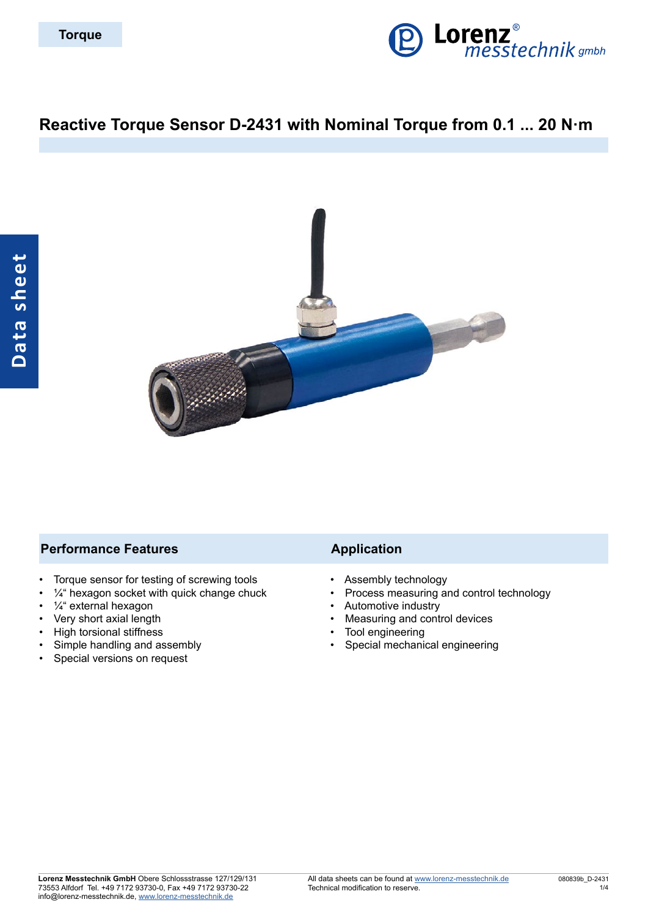

# **Reactive Torque Sensor D-2431 with Nominal Torque from 0.1 ... 20 N·m**



#### **Performance Features Application**

- Torque sensor for testing of screwing tools
- $\frac{1}{4}$ " hexagon socket with quick change chuck
- ¼" external hexagon
- Very short axial length
- High torsional stiffness
- Simple handling and assembly
- Special versions on request

- Assembly technology
- Process measuring and control technology
- Automotive industry
- Measuring and control devices
- Tool engineering
- Special mechanical engineering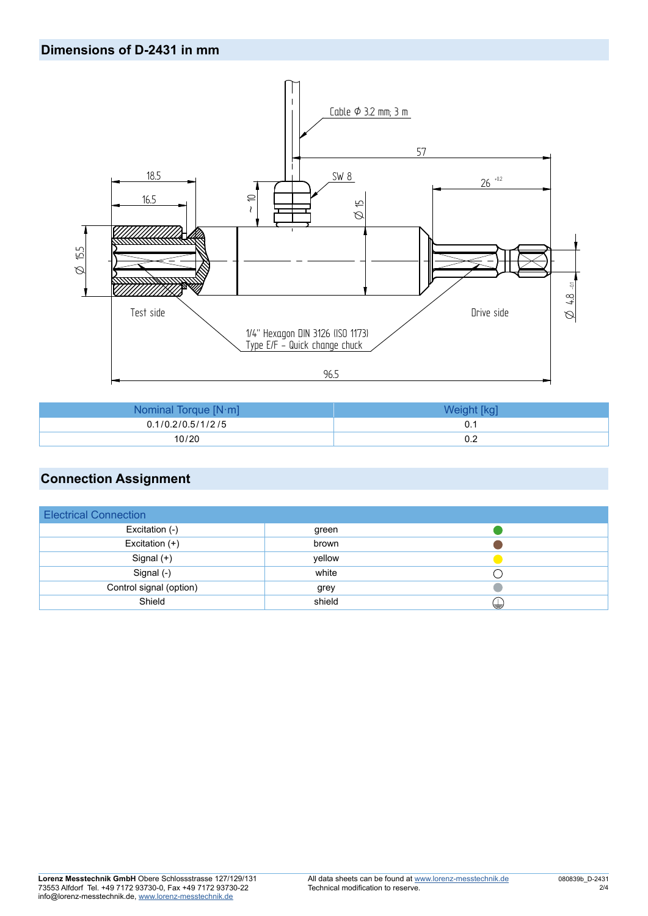### **Dimensions of D-2431 in mm**



| Nominal Torque $[N \cdot m]$ |     |
|------------------------------|-----|
| 0.1/0.2/0.5/1/2/5            |     |
| 10/20                        | 0.2 |

## **Connection Assignment**

| <b>Electrical Connection</b> |        |   |
|------------------------------|--------|---|
| Excitation (-)               | green  |   |
| Excitation $(+)$             | brown  |   |
| Signal $(+)$                 | yellow |   |
| Signal (-)                   | white  |   |
| Control signal (option)      | grey   |   |
| Shield                       | shield | ⊌ |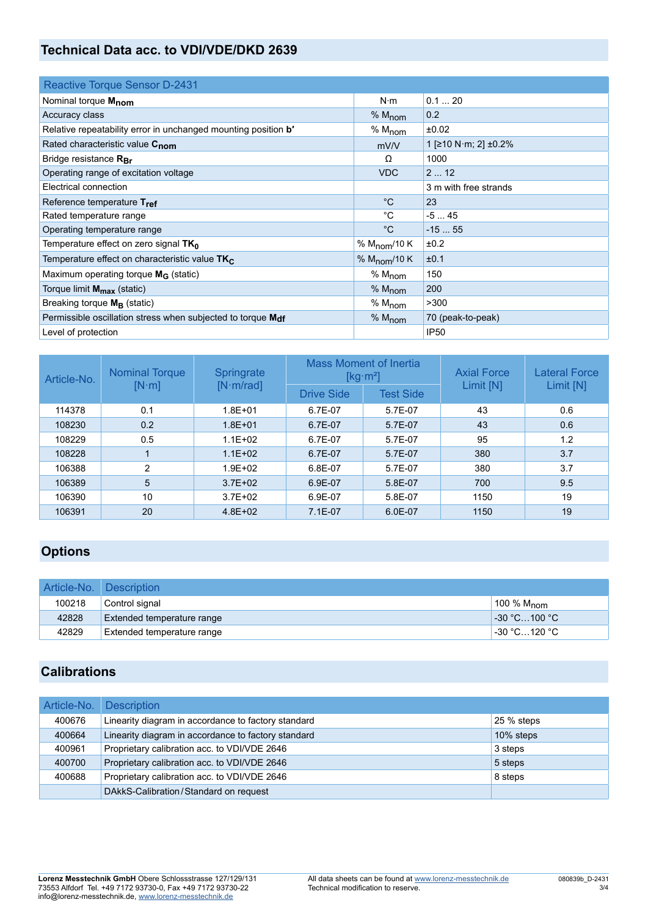# **Technical Data acc. to VDI/VDE/DKD 2639**

| <b>Reactive Torque Sensor D-2431</b>                                  |                          |                       |
|-----------------------------------------------------------------------|--------------------------|-----------------------|
| Nominal torque Mnom                                                   | $N \cdot m$              | 0.120                 |
| Accuracy class                                                        | $% M_{\text{nom}}$       | 0.2                   |
| Relative repeatability error in unchanged mounting position <b>b'</b> | % M <sub>nom</sub>       | ±0.02                 |
| Rated characteristic value C <sub>nom</sub>                           | mV/V                     | 1 [≥10 N·m; 2] ±0.2%  |
| Bridge resistance $R_{Br}$                                            | Ω                        | 1000                  |
| Operating range of excitation voltage                                 | <b>VDC</b>               | 212                   |
| Electrical connection                                                 |                          | 3 m with free strands |
| Reference temperature Tref                                            | $^{\circ}C$              | 23                    |
| Rated temperature range                                               | °C                       | $-545$                |
| Operating temperature range                                           | $^{\circ}C$              | $-1555$               |
| Temperature effect on zero signal TK <sub>0</sub>                     | % $M_{\text{nom}}$ /10 K | ±0.2                  |
| Temperature effect on characteristic value TK <sub>C</sub>            | % $M_{\text{nom}}$ /10 K | ±0.1                  |
| Maximum operating torque M <sub>G</sub> (static)                      | % $M_{\text{nom}}$       | 150                   |
| Torque limit M <sub>max</sub> (static)                                | % $M_{\text{nom}}$       | 200                   |
| Breaking torque $M_B$ (static)                                        | % $M_{\text{nom}}$       | >300                  |
| Permissible oscillation stress when subjected to torque Mdf           | $% M_{\text{nom}}$       | 70 (peak-to-peak)     |
| Level of protection                                                   |                          | <b>IP50</b>           |

| Article-No. | <b>Nominal Torque</b><br>$[N \cdot m]$ | Springrate<br>[N·m/rad] | <b>Mass Moment of Inertia</b><br>[kg $\cdot$ m <sup>2</sup> ] |                  | <b>Axial Force</b> | <b>Lateral Force</b> |
|-------------|----------------------------------------|-------------------------|---------------------------------------------------------------|------------------|--------------------|----------------------|
|             |                                        |                         | <b>Drive Side</b>                                             | <b>Test Side</b> | Limit [N]          | Limit [N]            |
| 114378      | 0.1                                    | $1.8E + 01$             | 6.7E-07                                                       | 5.7E-07          | 43                 | 0.6                  |
| 108230      | 0.2                                    | $1.8E + 01$             | 6.7E-07                                                       | 5.7E-07          | 43                 | 0.6                  |
| 108229      | 0.5                                    | $1.1E + 02$             | 6.7E-07                                                       | 5.7E-07          | 95                 | 1.2                  |
| 108228      |                                        | $1.1E + 02$             | 6.7E-07                                                       | 5.7E-07          | 380                | 3.7                  |
| 106388      | 2                                      | $1.9E + 02$             | 6.8E-07                                                       | 5.7E-07          | 380                | 3.7                  |
| 106389      | 5                                      | $3.7E + 02$             | 6.9E-07                                                       | 5.8E-07          | 700                | 9.5                  |
| 106390      | 10                                     | $3.7E + 02$             | 6.9E-07                                                       | 5.8E-07          | 1150               | 19                   |
| 106391      | 20                                     | $4.8E + 02$             | $7.1E-07$                                                     | $6.0E-07$        | 1150               | 19                   |

## **Options**

| Article-No. Description |                            |                            |
|-------------------------|----------------------------|----------------------------|
| 100218                  | Control signal             | 100 % $M_{\text{nom}}$     |
| 42828                   | Extended temperature range | $\sim$ -30 °C100 °C.       |
| 42829                   | Extended temperature range | <sup>⊥</sup> -30 °C…120 °C |

## **Calibrations**

| Article-No. | <b>Description</b>                                  |            |
|-------------|-----------------------------------------------------|------------|
| 400676      | Linearity diagram in accordance to factory standard | 25 % steps |
| 400664      | Linearity diagram in accordance to factory standard | 10% steps  |
| 400961      | Proprietary calibration acc. to VDI/VDE 2646        | 3 steps    |
| 400700      | Proprietary calibration acc. to VDI/VDE 2646        | 5 steps    |
| 400688      | Proprietary calibration acc. to VDI/VDE 2646        | 8 steps    |
|             | DAkkS-Calibration/Standard on request               |            |